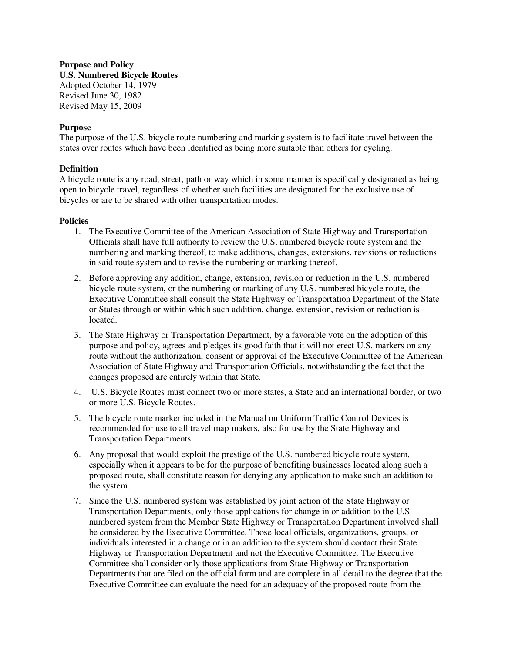## **Purpose and Policy U.S. Numbered Bicycle Routes**  Adopted October 14, 1979 Revised June 30, 1982 Revised May 15, 2009

## **Purpose**

The purpose of the U.S. bicycle route numbering and marking system is to facilitate travel between the states over routes which have been identified as being more suitable than others for cycling.

## **Definition**

A bicycle route is any road, street, path or way which in some manner is specifically designated as being open to bicycle travel, regardless of whether such facilities are designated for the exclusive use of bicycles or are to be shared with other transportation modes.

## **Policies**

- 1. The Executive Committee of the American Association of State Highway and Transportation Officials shall have full authority to review the U.S. numbered bicycle route system and the numbering and marking thereof, to make additions, changes, extensions, revisions or reductions in said route system and to revise the numbering or marking thereof.
- 2. Before approving any addition, change, extension, revision or reduction in the U.S. numbered bicycle route system, or the numbering or marking of any U.S. numbered bicycle route, the Executive Committee shall consult the State Highway or Transportation Department of the State or States through or within which such addition, change, extension, revision or reduction is located.
- 3. The State Highway or Transportation Department, by a favorable vote on the adoption of this purpose and policy, agrees and pledges its good faith that it will not erect U.S. markers on any route without the authorization, consent or approval of the Executive Committee of the American Association of State Highway and Transportation Officials, notwithstanding the fact that the changes proposed are entirely within that State.
- 4. U.S. Bicycle Routes must connect two or more states, a State and an international border, or two or more U.S. Bicycle Routes.
- 5. The bicycle route marker included in the Manual on Uniform Traffic Control Devices is recommended for use to all travel map makers, also for use by the State Highway and Transportation Departments.
- 6. Any proposal that would exploit the prestige of the U.S. numbered bicycle route system, especially when it appears to be for the purpose of benefiting businesses located along such a proposed route, shall constitute reason for denying any application to make such an addition to the system.
- 7. Since the U.S. numbered system was established by joint action of the State Highway or Transportation Departments, only those applications for change in or addition to the U.S. numbered system from the Member State Highway or Transportation Department involved shall be considered by the Executive Committee. Those local officials, organizations, groups, or individuals interested in a change or in an addition to the system should contact their State Highway or Transportation Department and not the Executive Committee. The Executive Committee shall consider only those applications from State Highway or Transportation Departments that are filed on the official form and are complete in all detail to the degree that the Executive Committee can evaluate the need for an adequacy of the proposed route from the